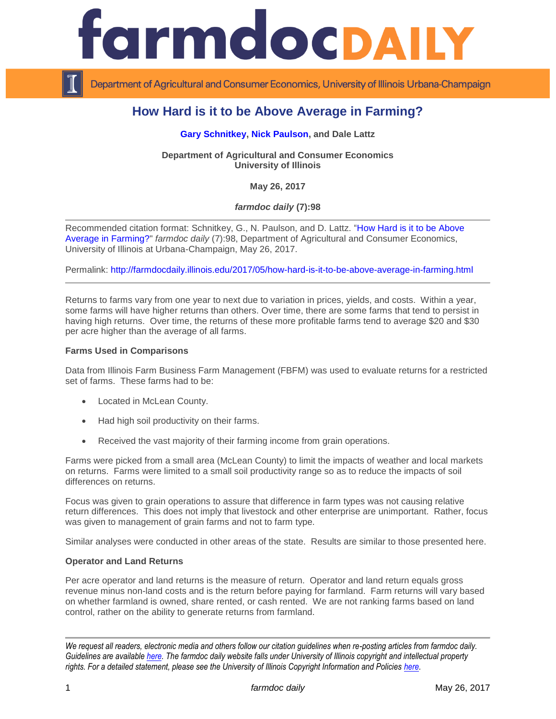

Department of Agricultural and Consumer Economics, University of Illinois Urbana-Champaign

# **How Hard is it to be Above Average in Farming?**

## **[Gary Schnitkey,](http://farmdoc.illinois.edu/schnitkey) [Nick Paulson,](http://farmdoc.illinois.edu/paulson) and Dale Lattz**

**Department of Agricultural and Consumer Economics University of Illinois**

**May 26, 2017**

# *farmdoc daily* **(7):98**

Recommended citation format: Schnitkey, G., N. Paulson, and D. Lattz. ["How Hard is it to be Above](http://farmdocdaily.illinois.edu/2017/05/how-hard-is-it-to-be-above-average-in-farming.html)  [Average in Farming?"](http://farmdocdaily.illinois.edu/2017/05/how-hard-is-it-to-be-above-average-in-farming.html) *farmdoc daily* (7):98, Department of Agricultural and Consumer Economics, University of Illinois at Urbana-Champaign, May 26, 2017.

Permalink: <http://farmdocdaily.illinois.edu/2017/05/how-hard-is-it-to-be-above-average-in-farming.html>

Returns to farms vary from one year to next due to variation in prices, yields, and costs. Within a year, some farms will have higher returns than others. Over time, there are some farms that tend to persist in having high returns. Over time, the returns of these more profitable farms tend to average \$20 and \$30 per acre higher than the average of all farms.

#### **Farms Used in Comparisons**

Data from Illinois Farm Business Farm Management (FBFM) was used to evaluate returns for a restricted set of farms. These farms had to be:

- Located in McLean County.
- Had high soil productivity on their farms.
- Received the vast majority of their farming income from grain operations.

Farms were picked from a small area (McLean County) to limit the impacts of weather and local markets on returns. Farms were limited to a small soil productivity range so as to reduce the impacts of soil differences on returns.

Focus was given to grain operations to assure that difference in farm types was not causing relative return differences. This does not imply that livestock and other enterprise are unimportant. Rather, focus was given to management of grain farms and not to farm type.

Similar analyses were conducted in other areas of the state. Results are similar to those presented here.

#### **Operator and Land Returns**

Per acre operator and land returns is the measure of return. Operator and land return equals gross revenue minus non-land costs and is the return before paying for farmland. Farm returns will vary based on whether farmland is owned, share rented, or cash rented. We are not ranking farms based on land control, rather on the ability to generate returns from farmland.

*We request all readers, electronic media and others follow our citation guidelines when re-posting articles from farmdoc daily. Guidelines are available [here.](http://farmdocdaily.illinois.edu/citationguide.html) The farmdoc daily website falls under University of Illinois copyright and intellectual property rights. For a detailed statement, please see the University of Illinois Copyright Information and Policies [here.](http://www.cio.illinois.edu/policies/copyright/)*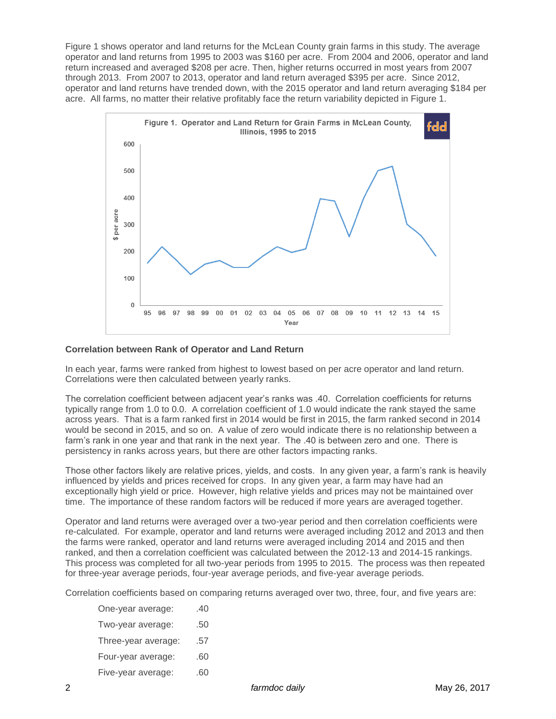Figure 1 shows operator and land returns for the McLean County grain farms in this study. The average operator and land returns from 1995 to 2003 was \$160 per acre. From 2004 and 2006, operator and land return increased and averaged \$208 per acre. Then, higher returns occurred in most years from 2007 through 2013. From 2007 to 2013, operator and land return averaged \$395 per acre. Since 2012, operator and land returns have trended down, with the 2015 operator and land return averaging \$184 per acre. All farms, no matter their relative profitably face the return variability depicted in Figure 1.



## **Correlation between Rank of Operator and Land Return**

In each year, farms were ranked from highest to lowest based on per acre operator and land return. Correlations were then calculated between yearly ranks.

The correlation coefficient between adjacent year's ranks was .40. Correlation coefficients for returns typically range from 1.0 to 0.0. A correlation coefficient of 1.0 would indicate the rank stayed the same across years. That is a farm ranked first in 2014 would be first in 2015, the farm ranked second in 2014 would be second in 2015, and so on. A value of zero would indicate there is no relationship between a farm's rank in one year and that rank in the next year. The .40 is between zero and one. There is persistency in ranks across years, but there are other factors impacting ranks.

Those other factors likely are relative prices, yields, and costs. In any given year, a farm's rank is heavily influenced by yields and prices received for crops. In any given year, a farm may have had an exceptionally high yield or price. However, high relative yields and prices may not be maintained over time. The importance of these random factors will be reduced if more years are averaged together.

Operator and land returns were averaged over a two-year period and then correlation coefficients were re-calculated. For example, operator and land returns were averaged including 2012 and 2013 and then the farms were ranked, operator and land returns were averaged including 2014 and 2015 and then ranked, and then a correlation coefficient was calculated between the 2012-13 and 2014-15 rankings. This process was completed for all two-year periods from 1995 to 2015. The process was then repeated for three-year average periods, four-year average periods, and five-year average periods.

Correlation coefficients based on comparing returns averaged over two, three, four, and five years are:

- One-year average: .40 Two-year average: .50 Three-year average: .57 Four-year average: .60
- Five-year average: .60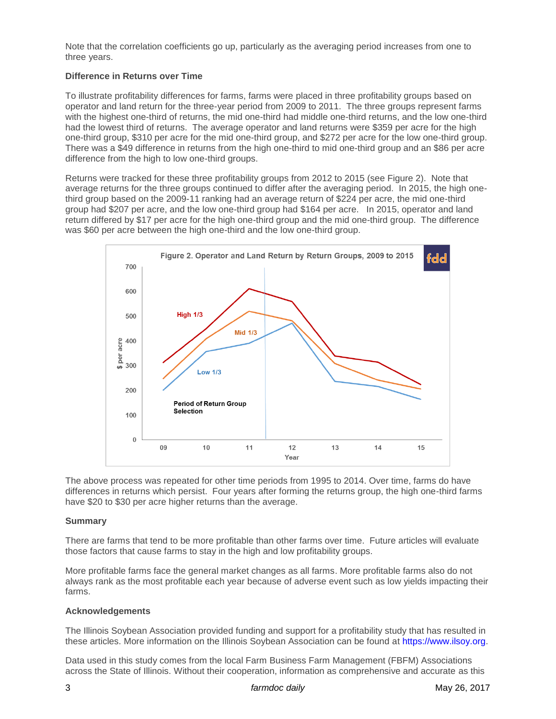Note that the correlation coefficients go up, particularly as the averaging period increases from one to three years.

#### **Difference in Returns over Time**

To illustrate profitability differences for farms, farms were placed in three profitability groups based on operator and land return for the three-year period from 2009 to 2011. The three groups represent farms with the highest one-third of returns, the mid one-third had middle one-third returns, and the low one-third had the lowest third of returns. The average operator and land returns were \$359 per acre for the high one-third group, \$310 per acre for the mid one-third group, and \$272 per acre for the low one-third group. There was a \$49 difference in returns from the high one-third to mid one-third group and an \$86 per acre difference from the high to low one-third groups.

Returns were tracked for these three profitability groups from 2012 to 2015 (see Figure 2). Note that average returns for the three groups continued to differ after the averaging period. In 2015, the high onethird group based on the 2009-11 ranking had an average return of \$224 per acre, the mid one-third group had \$207 per acre, and the low one-third group had \$164 per acre. In 2015, operator and land return differed by \$17 per acre for the high one-third group and the mid one-third group. The difference was \$60 per acre between the high one-third and the low one-third group.



The above process was repeated for other time periods from 1995 to 2014. Over time, farms do have differences in returns which persist. Four years after forming the returns group, the high one-third farms have \$20 to \$30 per acre higher returns than the average.

#### **Summary**

There are farms that tend to be more profitable than other farms over time. Future articles will evaluate those factors that cause farms to stay in the high and low profitability groups.

More profitable farms face the general market changes as all farms. More profitable farms also do not always rank as the most profitable each year because of adverse event such as low yields impacting their farms.

#### **Acknowledgements**

The Illinois Soybean Association provided funding and support for a profitability study that has resulted in these articles. More information on the Illinois Soybean Association can be found at [https://www.ilsoy.org.](https://www.ilsoy.org/)

Data used in this study comes from the local Farm Business Farm Management (FBFM) Associations across the State of Illinois. Without their cooperation, information as comprehensive and accurate as this